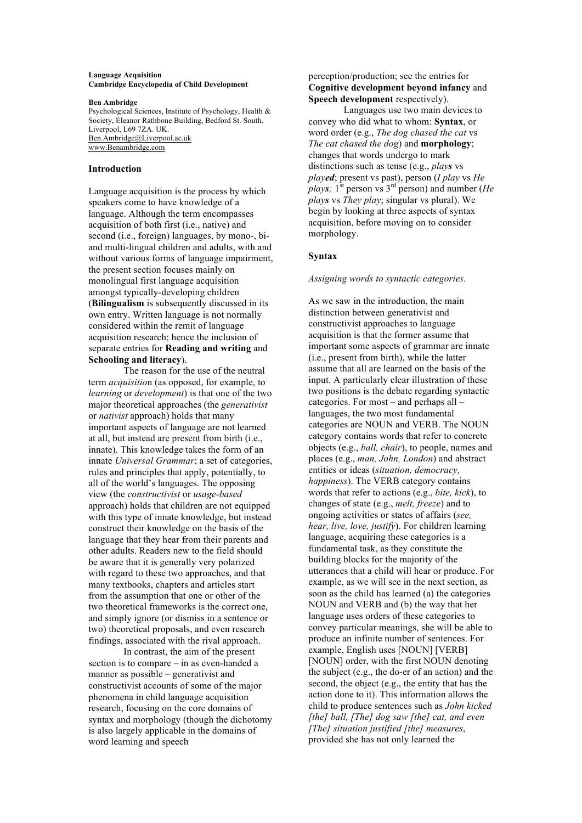#### **Language Acquisition Cambridge Encyclopedia of Child Development**

**Ben Ambridge**

Psychological Sciences, Institute of Psychology, Health & Society, Eleanor Rathbone Building, Bedford St. South, Liverpool, L69 7ZA. UK. Ben.Ambridge@Liverpool.ac.uk www.Benambridge.com

### **Introduction**

Language acquisition is the process by which speakers come to have knowledge of a language. Although the term encompasses acquisition of both first (i.e., native) and second (i.e., foreign) languages, by mono-, biand multi-lingual children and adults, with and without various forms of language impairment, the present section focuses mainly on monolingual first language acquisition amongst typically-developing children (**Bilingualism** is subsequently discussed in its own entry. Written language is not normally considered within the remit of language acquisition research; hence the inclusion of separate entries for **Reading and writing** and **Schooling and literacy**).

The reason for the use of the neutral term *acquisitio*n (as opposed, for example, to *learning* or *development*) is that one of the two major theoretical approaches (the *generativist*  or *nativist* approach) holds that many important aspects of language are not learned at all, but instead are present from birth (i.e., innate). This knowledge takes the form of an innate *Universal Grammar*; a set of categories, rules and principles that apply, potentially, to all of the world's languages. The opposing view (the *constructivist* or *usage-based* approach) holds that children are not equipped with this type of innate knowledge, but instead construct their knowledge on the basis of the language that they hear from their parents and other adults. Readers new to the field should be aware that it is generally very polarized with regard to these two approaches, and that many textbooks, chapters and articles start from the assumption that one or other of the two theoretical frameworks is the correct one, and simply ignore (or dismiss in a sentence or two) theoretical proposals, and even research findings, associated with the rival approach.

In contrast, the aim of the present section is to compare – in as even-handed a manner as possible – generativist and constructivist accounts of some of the major phenomena in child language acquisition research, focusing on the core domains of syntax and morphology (though the dichotomy is also largely applicable in the domains of word learning and speech

# perception/production; see the entries for **Cognitive development beyond infancy** and **Speech development** respectively).

Languages use two main devices to convey who did what to whom: **Syntax**, or word order (e.g., *The dog chased the cat* vs *The cat chased the dog*) and **morphology**; changes that words undergo to mark distinctions such as tense (e.g., *plays* vs *played*; present vs past), person (*I play* vs *He plays*;  $1^{st}$  person vs  $3^{rd}$  person) and number (*He plays* vs *They play*; singular vs plural). We begin by looking at three aspects of syntax acquisition, before moving on to consider morphology.

## **Syntax**

#### *Assigning words to syntactic categories.*

As we saw in the introduction, the main distinction between generativist and constructivist approaches to language acquisition is that the former assume that important some aspects of grammar are innate (i.e., present from birth), while the latter assume that all are learned on the basis of the input. A particularly clear illustration of these two positions is the debate regarding syntactic categories. For most – and perhaps all – languages, the two most fundamental categories are NOUN and VERB. The NOUN category contains words that refer to concrete objects (e.g., *ball, chair*), to people, names and places (e.g., *man, John, London*) and abstract entities or ideas (*situation, democracy, happiness*). The VERB category contains words that refer to actions (e.g., *bite, kick*), to changes of state (e.g., *melt, freeze*) and to ongoing activities or states of affairs (*see, hear, live, love, justify*). For children learning language, acquiring these categories is a fundamental task, as they constitute the building blocks for the majority of the utterances that a child will hear or produce. For example, as we will see in the next section, as soon as the child has learned (a) the categories NOUN and VERB and (b) the way that her language uses orders of these categories to convey particular meanings, she will be able to produce an infinite number of sentences. For example, English uses [NOUN] [VERB] [NOUN] order, with the first NOUN denoting the subject (e.g., the do-er of an action) and the second, the object (e.g., the entity that has the action done to it). This information allows the child to produce sentences such as *John kicked [the] ball, [The] dog saw [the] cat, and even [The] situation justified [the] measures*, provided she has not only learned the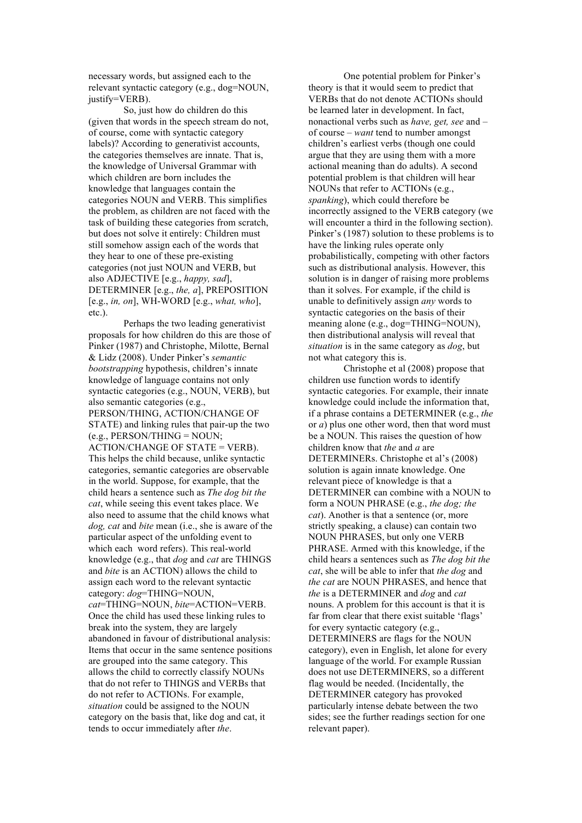necessary words, but assigned each to the relevant syntactic category (e.g., dog=NOUN, justify=VERB).

So, just how do children do this (given that words in the speech stream do not, of course, come with syntactic category labels)? According to generativist accounts, the categories themselves are innate. That is, the knowledge of Universal Grammar with which children are born includes the knowledge that languages contain the categories NOUN and VERB. This simplifies the problem, as children are not faced with the task of building these categories from scratch, but does not solve it entirely: Children must still somehow assign each of the words that they hear to one of these pre-existing categories (not just NOUN and VERB, but also ADJECTIVE [e.g., *happy, sad*], DETERMINER [e.g., *the, a*], PREPOSITION [e.g., *in, on*], WH-WORD [e.g., *what, who*], etc.).

Perhaps the two leading generativist proposals for how children do this are those of Pinker (1987) and Christophe, Milotte, Bernal & Lidz (2008). Under Pinker's *semantic bootstrapping* hypothesis, children's innate knowledge of language contains not only syntactic categories (e.g., NOUN, VERB), but also semantic categories (e.g., PERSON/THING, ACTION/CHANGE OF STATE) and linking rules that pair-up the two  $(e.g., PERSON/THING = NOUN:$ ACTION/CHANGE OF STATE = VERB). This helps the child because, unlike syntactic categories, semantic categories are observable in the world. Suppose, for example, that the child hears a sentence such as *The dog bit the cat*, while seeing this event takes place. We also need to assume that the child knows what *dog, cat* and *bite* mean (i.e., she is aware of the particular aspect of the unfolding event to which each word refers). This real-world knowledge (e.g., that *dog* and *cat* are THINGS and *bite* is an ACTION) allows the child to assign each word to the relevant syntactic category: *dog*=THING=NOUN, *cat*=THING=NOUN, *bite*=ACTION=VERB. Once the child has used these linking rules to break into the system, they are largely abandoned in favour of distributional analysis: Items that occur in the same sentence positions are grouped into the same category. This allows the child to correctly classify NOUNs that do not refer to THINGS and VERBs that do not refer to ACTIONs. For example, *situation* could be assigned to the NOUN category on the basis that, like dog and cat, it tends to occur immediately after *the*.

One potential problem for Pinker's theory is that it would seem to predict that VERBs that do not denote ACTIONs should be learned later in development. In fact, nonactional verbs such as *have, get, see* and – of course – *want* tend to number amongst children's earliest verbs (though one could argue that they are using them with a more actional meaning than do adults). A second potential problem is that children will hear NOUNs that refer to ACTIONs (e.g., *spanking*), which could therefore be incorrectly assigned to the VERB category (we will encounter a third in the following section). Pinker's (1987) solution to these problems is to have the linking rules operate only probabilistically, competing with other factors such as distributional analysis. However, this solution is in danger of raising more problems than it solves. For example, if the child is unable to definitively assign *any* words to syntactic categories on the basis of their meaning alone (e.g., dog=THING=NOUN), then distributional analysis will reveal that *situation* is in the same category as *dog*, but not what category this is.

Christophe et al (2008) propose that children use function words to identify syntactic categories. For example, their innate knowledge could include the information that, if a phrase contains a DETERMINER (e.g., *the* or *a*) plus one other word, then that word must be a NOUN. This raises the question of how children know that *the* and *a* are DETERMINERs. Christophe et al's (2008) solution is again innate knowledge. One relevant piece of knowledge is that a DETERMINER can combine with a NOUN to form a NOUN PHRASE (e.g., *the dog; the cat*). Another is that a sentence (or, more strictly speaking, a clause) can contain two NOUN PHRASES, but only one VERB PHRASE. Armed with this knowledge, if the child hears a sentences such as *The dog bit the cat*, she will be able to infer that *the dog* and *the cat* are NOUN PHRASES, and hence that *the* is a DETERMINER and *dog* and *cat* nouns. A problem for this account is that it is far from clear that there exist suitable 'flags' for every syntactic category (e.g., DETERMINERS are flags for the NOUN category), even in English, let alone for every language of the world. For example Russian does not use DETERMINERS, so a different flag would be needed. (Incidentally, the DETERMINER category has provoked particularly intense debate between the two sides; see the further readings section for one relevant paper).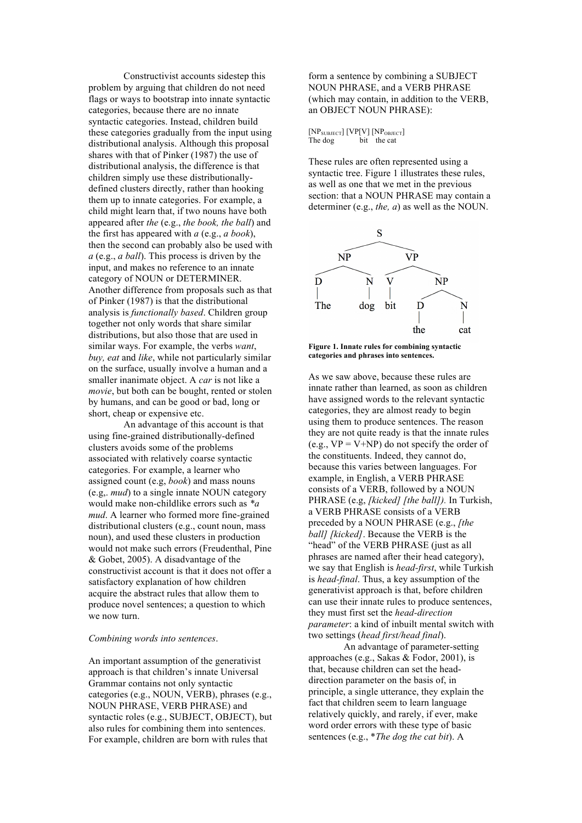Constructivist accounts sidestep this problem by arguing that children do not need flags or ways to bootstrap into innate syntactic categories, because there are no innate syntactic categories. Instead, children build these categories gradually from the input using distributional analysis. Although this proposal shares with that of Pinker (1987) the use of distributional analysis, the difference is that children simply use these distributionallydefined clusters directly, rather than hooking them up to innate categories. For example, a child might learn that, if two nouns have both appeared after *the* (e.g., *the book, the ball*) and the first has appeared with *a* (e.g., *a book*), then the second can probably also be used with *a* (e.g., *a ball*). This process is driven by the input, and makes no reference to an innate category of NOUN or DETERMINER. Another difference from proposals such as that of Pinker (1987) is that the distributional analysis is *functionally based*. Children group together not only words that share similar distributions, but also those that are used in similar ways. For example, the verbs *want*, *buy, eat* and *like*, while not particularly similar on the surface, usually involve a human and a smaller inanimate object. A *car* is not like a *movie*, but both can be bought, rented or stolen by humans, and can be good or bad, long or short, cheap or expensive etc.

An advantage of this account is that using fine-grained distributionally-defined clusters avoids some of the problems associated with relatively coarse syntactic categories. For example, a learner who assigned count (e.g, *book*) and mass nouns (e.g,. *mud*) to a single innate NOUN category would make non-childlike errors such as *\*a mud*. A learner who formed more fine-grained distributional clusters (e.g., count noun, mass noun), and used these clusters in production would not make such errors (Freudenthal, Pine & Gobet, 2005). A disadvantage of the constructivist account is that it does not offer a satisfactory explanation of how children acquire the abstract rules that allow them to produce novel sentences; a question to which we now turn.

### *Combining words into sentences*.

An important assumption of the generativist approach is that children's innate Universal Grammar contains not only syntactic categories (e.g., NOUN, VERB), phrases (e.g., NOUN PHRASE, VERB PHRASE) and syntactic roles (e.g., SUBJECT, OBJECT), but also rules for combining them into sentences. For example, children are born with rules that

# form a sentence by combining a SUBJECT NOUN PHRASE, and a VERB PHRASE (which may contain, in addition to the VERB, an OBJECT NOUN PHRASE):

[NP<sub>SUBJECT</sub>] [VP[V] [NP<sub>OBJECT</sub>]<br>The dog bit the cat bit the cat

These rules are often represented using a syntactic tree. Figure 1 illustrates these rules, as well as one that we met in the previous section: that a NOUN PHRASE may contain a determiner (e.g., *the, a*) as well as the NOUN.





As we saw above, because these rules are innate rather than learned, as soon as children have assigned words to the relevant syntactic categories, they are almost ready to begin using them to produce sentences. The reason they are not quite ready is that the innate rules (e.g.,  $VP = V + NP$ ) do not specify the order of the constituents. Indeed, they cannot do, because this varies between languages. For example, in English, a VERB PHRASE consists of a VERB, followed by a NOUN PHRASE (e.g, *[kicked] [the ball]).* In Turkish, a VERB PHRASE consists of a VERB preceded by a NOUN PHRASE (e.g., *[the ball] [kicked]*. Because the VERB is the "head" of the VERB PHRASE (just as all phrases are named after their head category), we say that English is *head-first*, while Turkish is *head-final*. Thus, a key assumption of the generativist approach is that, before children can use their innate rules to produce sentences, they must first set the *head-direction parameter*: a kind of inbuilt mental switch with two settings (*head first/head final*).

An advantage of parameter-setting approaches (e.g., Sakas & Fodor, 2001), is that, because children can set the headdirection parameter on the basis of, in principle, a single utterance, they explain the fact that children seem to learn language relatively quickly, and rarely, if ever, make word order errors with these type of basic sentences (e.g., \**The dog the cat bit*). A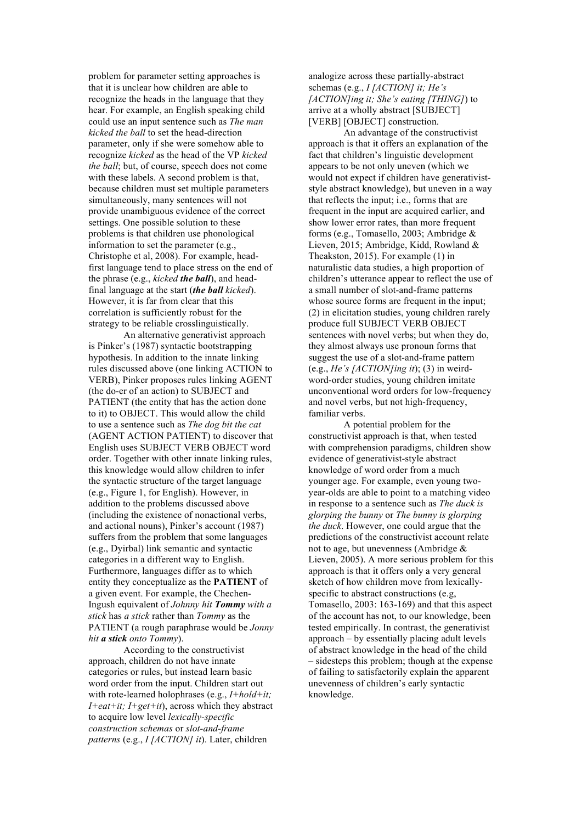problem for parameter setting approaches is that it is unclear how children are able to recognize the heads in the language that they hear. For example, an English speaking child could use an input sentence such as *The man kicked the ball* to set the head-direction parameter, only if she were somehow able to recognize *kicked* as the head of the VP *kicked the ball*; but, of course, speech does not come with these labels. A second problem is that, because children must set multiple parameters simultaneously, many sentences will not provide unambiguous evidence of the correct settings. One possible solution to these problems is that children use phonological information to set the parameter (e.g., Christophe et al, 2008). For example, headfirst language tend to place stress on the end of the phrase (e.g., *kicked the ball*), and headfinal language at the start (*the ball kicked*). However, it is far from clear that this correlation is sufficiently robust for the strategy to be reliable crosslinguistically.

An alternative generativist approach is Pinker's (1987) syntactic bootstrapping hypothesis. In addition to the innate linking rules discussed above (one linking ACTION to VERB), Pinker proposes rules linking AGENT (the do-er of an action) to SUBJECT and PATIENT (the entity that has the action done to it) to OBJECT. This would allow the child to use a sentence such as *The dog bit the cat* (AGENT ACTION PATIENT) to discover that English uses SUBJECT VERB OBJECT word order. Together with other innate linking rules, this knowledge would allow children to infer the syntactic structure of the target language (e.g., Figure 1, for English). However, in addition to the problems discussed above (including the existence of nonactional verbs, and actional nouns), Pinker's account (1987) suffers from the problem that some languages (e.g., Dyirbal) link semantic and syntactic categories in a different way to English. Furthermore, languages differ as to which entity they conceptualize as the **PATIENT** of a given event. For example, the Chechen-Ingush equivalent of *Johnny hit Tommy with a stick* has *a stick* rather than *Tommy* as the PATIENT (a rough paraphrase would be *Jonny hit a stick onto Tommy*).

According to the constructivist approach, children do not have innate categories or rules, but instead learn basic word order from the input. Children start out with rote-learned holophrases (e.g.,  $I + hold + it$ ; *I+eat+it; I+get+it*), across which they abstract to acquire low level *lexically-specific construction schemas* or *slot-and-frame patterns* (e.g., *I [ACTION] it*). Later, children

analogize across these partially-abstract schemas (e.g., *I [ACTION] it; He's [ACTION]ing it; She's eating [THING]*) to arrive at a wholly abstract [SUBJECT] [VERB] [OBJECT] construction.

An advantage of the constructivist approach is that it offers an explanation of the fact that children's linguistic development appears to be not only uneven (which we would not expect if children have generativiststyle abstract knowledge), but uneven in a way that reflects the input; i.e., forms that are frequent in the input are acquired earlier, and show lower error rates, than more frequent forms (e.g., Tomasello, 2003; Ambridge & Lieven, 2015; Ambridge, Kidd, Rowland & Theakston, 2015). For example (1) in naturalistic data studies, a high proportion of children's utterance appear to reflect the use of a small number of slot-and-frame patterns whose source forms are frequent in the input; (2) in elicitation studies, young children rarely produce full SUBJECT VERB OBJECT sentences with novel verbs; but when they do, they almost always use pronoun forms that suggest the use of a slot-and-frame pattern (e.g., *He's [ACTION]ing it*); (3) in weirdword-order studies, young children imitate unconventional word orders for low-frequency and novel verbs, but not high-frequency, familiar verbs.

A potential problem for the constructivist approach is that, when tested with comprehension paradigms, children show evidence of generativist-style abstract knowledge of word order from a much younger age. For example, even young twoyear-olds are able to point to a matching video in response to a sentence such as *The duck is glorping the bunny* or *The bunny is glorping the duck*. However, one could argue that the predictions of the constructivist account relate not to age, but unevenness (Ambridge & Lieven, 2005). A more serious problem for this approach is that it offers only a very general sketch of how children move from lexicallyspecific to abstract constructions (e.g, Tomasello, 2003: 163-169) and that this aspect of the account has not, to our knowledge, been tested empirically. In contrast, the generativist approach – by essentially placing adult levels of abstract knowledge in the head of the child – sidesteps this problem; though at the expense of failing to satisfactorily explain the apparent unevenness of children's early syntactic knowledge.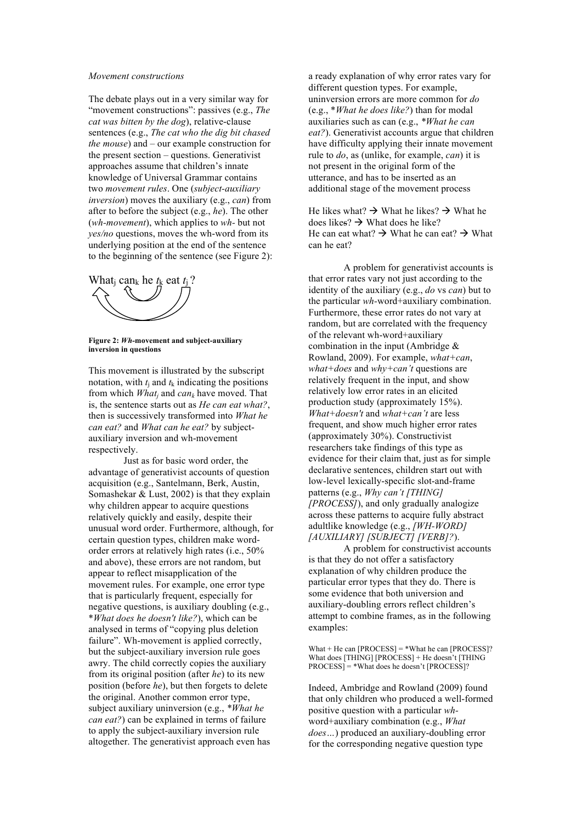#### *Movement constructions*

The debate plays out in a very similar way for "movement constructions": passives (e.g., *The*) *cat was bitten by the dog*), relative-clause sentences (e.g., *The cat who the dig bit chased the mouse*) and – our example construction for the present section – questions. Generativist approaches assume that children's innate knowledge of Universal Grammar contains two *movement rules*. One (*subject-auxiliary inversion*) moves the auxiliary (e.g., *can*) from after to before the subject (e.g., *he*). The other (*wh-movement*), which applies to *wh-* but not *yes/no* questions, moves the wh-word from its underlying position at the end of the sentence to the beginning of the sentence (see Figure 2):



**Figure 2:** *Wh-***movement and subject-auxiliary inversion in questions**

This movement is illustrated by the subscript notation, with  $t_i$  and  $t_k$  indicating the positions from which  $What<sub>i</sub>$  and  $can<sub>k</sub>$  have moved. That is, the sentence starts out as *He can eat what?*, then is successively transformed into *What he can eat?* and *What can he eat?* by subjectauxiliary inversion and wh-movement respectively.

Just as for basic word order, the advantage of generativist accounts of question acquisition (e.g., Santelmann, Berk, Austin, Somashekar & Lust, 2002) is that they explain why children appear to acquire questions relatively quickly and easily, despite their unusual word order. Furthermore, although, for certain question types, children make wordorder errors at relatively high rates (i.e., 50% and above), these errors are not random, but appear to reflect misapplication of the movement rules. For example, one error type that is particularly frequent, especially for negative questions, is auxiliary doubling (e.g., \**What does he doesn't like?*), which can be analysed in terms of "copying plus deletion failure". Wh-movement is applied correctly, but the subject-auxiliary inversion rule goes awry. The child correctly copies the auxiliary from its original position (after *he*) to its new position (before *he*), but then forgets to delete the original. Another common error type, subject auxiliary uninversion (e.g., *\*What he can eat?*) can be explained in terms of failure to apply the subject-auxiliary inversion rule altogether. The generativist approach even has

a ready explanation of why error rates vary for different question types. For example, uninversion errors are more common for *do* (e.g., \**What he does like?*) than for modal auxiliaries such as can (e.g., *\*What he can eat?*). Generativist accounts argue that children have difficulty applying their innate movement rule to *do*, as (unlike, for example, *can*) it is not present in the original form of the utterance, and has to be inserted as an additional stage of the movement process

He likes what?  $\rightarrow$  What he likes?  $\rightarrow$  What he does likes?  $\rightarrow$  What does he like? He can eat what?  $\rightarrow$  What he can eat?  $\rightarrow$  What can he eat?

A problem for generativist accounts is that error rates vary not just according to the identity of the auxiliary (e.g., *do* vs *can*) but to the particular *wh-*word+auxiliary combination. Furthermore, these error rates do not vary at random, but are correlated with the frequency of the relevant wh-word+auxiliary combination in the input (Ambridge  $\&$ Rowland, 2009). For example, *what+can*, *what+does* and *why+can't* questions are relatively frequent in the input, and show relatively low error rates in an elicited production study (approximately 15%). *What+doesn't* and *what+can't* are less frequent, and show much higher error rates (approximately 30%). Constructivist researchers take findings of this type as evidence for their claim that, just as for simple declarative sentences, children start out with low-level lexically-specific slot-and-frame patterns (e.g., *Why can't [THING] [PROCESS]*), and only gradually analogize across these patterns to acquire fully abstract adultlike knowledge (e.g., *[WH-WORD] [AUXILIARY] [SUBJECT] [VERB]?*).

A problem for constructivist accounts is that they do not offer a satisfactory explanation of why children produce the particular error types that they do. There is some evidence that both universion and auxiliary-doubling errors reflect children's attempt to combine frames, as in the following examples:

What + He can  $[PROCES]$  = \*What he can  $[PROCES]$ ? What does [THING] [PROCESS] + He doesn't [THING  $PROCESS = *What does he doesn't [PROCESS]$ ?

Indeed, Ambridge and Rowland (2009) found that only children who produced a well-formed positive question with a particular *wh*word+auxiliary combination (e.g., *What does…*) produced an auxiliary-doubling error for the corresponding negative question type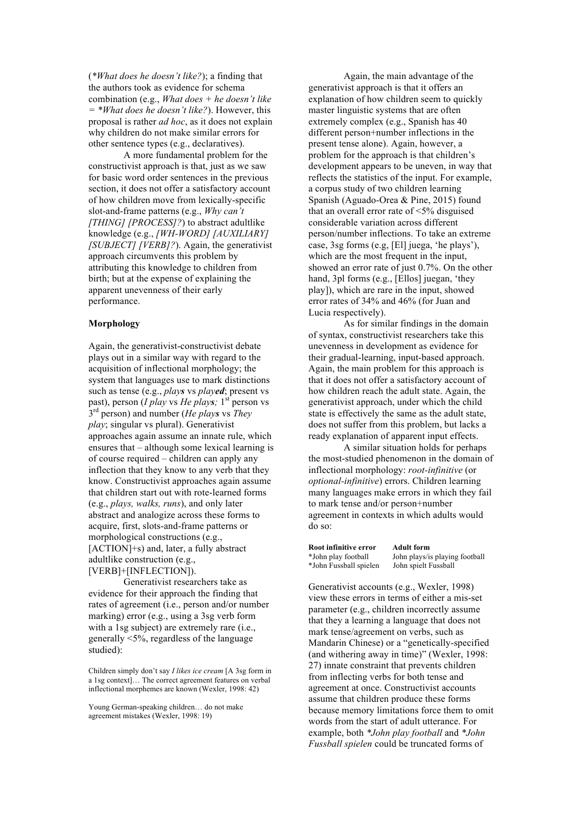(*\*What does he doesn't like?*); a finding that the authors took as evidence for schema combination (e.g., *What does + he doesn't like = \*What does he doesn't like?*). However, this proposal is rather *ad hoc*, as it does not explain why children do not make similar errors for other sentence types (e.g., declaratives).

A more fundamental problem for the constructivist approach is that, just as we saw for basic word order sentences in the previous section, it does not offer a satisfactory account of how children move from lexically-specific slot-and-frame patterns (e.g., *Why can't [THING] [PROCESS]?*) to abstract adultlike knowledge (e.g., *[WH-WORD] [AUXILIARY] [SUBJECT] [VERB]?*). Again, the generativist approach circumvents this problem by attributing this knowledge to children from birth; but at the expense of explaining the apparent unevenness of their early performance.

### **Morphology**

Again, the generativist-constructivist debate plays out in a similar way with regard to the acquisition of inflectional morphology; the system that languages use to mark distinctions such as tense (e.g., *plays* vs *played*; present vs past), person (*I play* vs *He plays;* 1st person vs 3rd person) and number (*He plays* vs *They play*; singular vs plural). Generativist approaches again assume an innate rule, which ensures that – although some lexical learning is of course required – children can apply any inflection that they know to any verb that they know. Constructivist approaches again assume that children start out with rote-learned forms (e.g., *plays, walks, runs*), and only later abstract and analogize across these forms to acquire, first, slots-and-frame patterns or morphological constructions (e.g., [ACTION]+s) and, later, a fully abstract adultlike construction (e.g., [VERB]+[INFLECTION]).

Generativist researchers take as evidence for their approach the finding that rates of agreement (i.e., person and/or number marking) error (e.g., using a 3sg verb form with a 1sg subject) are extremely rare (i.e., generally <5%, regardless of the language studied):

Children simply don't say *I likes ice cream* [A 3sg form in a 1sg context]… The correct agreement features on verbal inflectional morphemes are known (Wexler, 1998: 42)

Young German-speaking children… do not make agreement mistakes (Wexler, 1998: 19)

Again, the main advantage of the generativist approach is that it offers an explanation of how children seem to quickly master linguistic systems that are often extremely complex (e.g., Spanish has 40 different person+number inflections in the present tense alone). Again, however, a problem for the approach is that children's development appears to be uneven, in way that reflects the statistics of the input. For example, a corpus study of two children learning Spanish (Aguado-Orea & Pine, 2015) found that an overall error rate of <5% disguised considerable variation across different person/number inflections. To take an extreme case, 3sg forms (e.g, [El] juega, 'he plays'), which are the most frequent in the input, showed an error rate of just 0.7%. On the other hand, 3pl forms (e.g., [Ellos] juegan, 'they play]), which are rare in the input, showed error rates of 34% and 46% (for Juan and Lucia respectively).

As for similar findings in the domain of syntax, constructivist researchers take this unevenness in development as evidence for their gradual-learning, input-based approach. Again, the main problem for this approach is that it does not offer a satisfactory account of how children reach the adult state. Again, the generativist approach, under which the child state is effectively the same as the adult state, does not suffer from this problem, but lacks a ready explanation of apparent input effects.

A similar situation holds for perhaps the most-studied phenomenon in the domain of inflectional morphology: *root-infinitive* (or *optional-infinitive*) errors. Children learning many languages make errors in which they fail to mark tense and/or person+number agreement in contexts in which adults would do so:

**Root infinitive error Adult form** \*John Fussball spielen

\*John play football John plays/is playing football

Generativist accounts (e.g., Wexler, 1998) view these errors in terms of either a mis-set parameter (e.g., children incorrectly assume that they a learning a language that does not mark tense/agreement on verbs, such as Mandarin Chinese) or a "genetically-specified (and withering away in time)" (Wexler, 1998: 27) innate constraint that prevents children from inflecting verbs for both tense and agreement at once. Constructivist accounts assume that children produce these forms because memory limitations force them to omit words from the start of adult utterance. For example, both *\*John play football* and *\*John Fussball spielen* could be truncated forms of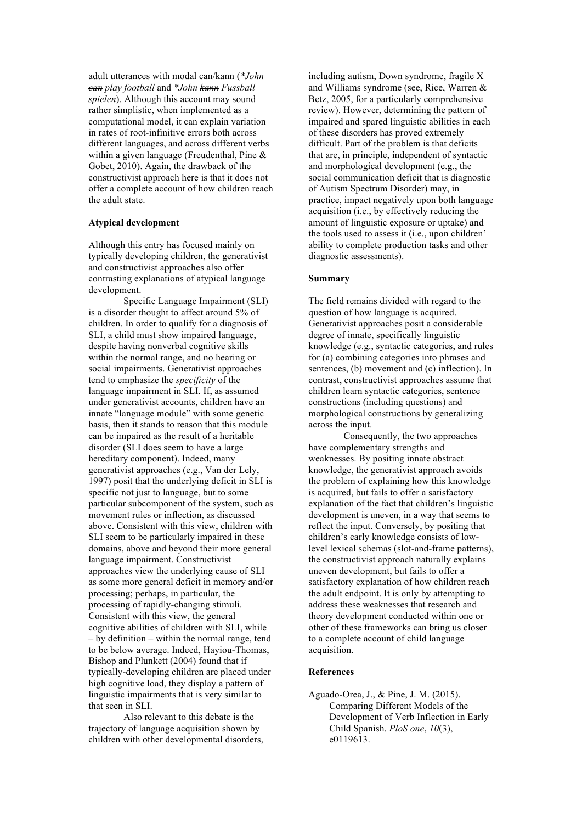adult utterances with modal can/kann (*\*John can play football* and *\*John kann Fussball spielen*). Although this account may sound rather simplistic, when implemented as a computational model, it can explain variation in rates of root-infinitive errors both across different languages, and across different verbs within a given language (Freudenthal, Pine & Gobet, 2010). Again, the drawback of the constructivist approach here is that it does not offer a complete account of how children reach the adult state.

# **Atypical development**

Although this entry has focused mainly on typically developing children, the generativist and constructivist approaches also offer contrasting explanations of atypical language development.

Specific Language Impairment (SLI) is a disorder thought to affect around 5% of children. In order to qualify for a diagnosis of SLI, a child must show impaired language, despite having nonverbal cognitive skills within the normal range, and no hearing or social impairments. Generativist approaches tend to emphasize the *specificity* of the language impairment in SLI. If, as assumed under generativist accounts, children have an innate "language module" with some genetic basis, then it stands to reason that this module can be impaired as the result of a heritable disorder (SLI does seem to have a large hereditary component). Indeed, many generativist approaches (e.g., Van der Lely, 1997) posit that the underlying deficit in SLI is specific not just to language, but to some particular subcomponent of the system, such as movement rules or inflection, as discussed above. Consistent with this view, children with SLI seem to be particularly impaired in these domains, above and beyond their more general language impairment. Constructivist approaches view the underlying cause of SLI as some more general deficit in memory and/or processing; perhaps, in particular, the processing of rapidly-changing stimuli. Consistent with this view, the general cognitive abilities of children with SLI, while – by definition – within the normal range, tend to be below average. Indeed, Hayiou-Thomas, Bishop and Plunkett (2004) found that if typically-developing children are placed under high cognitive load, they display a pattern of linguistic impairments that is very similar to that seen in SLI.

Also relevant to this debate is the trajectory of language acquisition shown by children with other developmental disorders, including autism, Down syndrome, fragile X and Williams syndrome (see, Rice, Warren & Betz, 2005, for a particularly comprehensive review). However, determining the pattern of impaired and spared linguistic abilities in each of these disorders has proved extremely difficult. Part of the problem is that deficits that are, in principle, independent of syntactic and morphological development (e.g., the social communication deficit that is diagnostic of Autism Spectrum Disorder) may, in practice, impact negatively upon both language acquisition (i.e., by effectively reducing the amount of linguistic exposure or uptake) and the tools used to assess it (i.e., upon children' ability to complete production tasks and other diagnostic assessments).

### **Summary**

The field remains divided with regard to the question of how language is acquired. Generativist approaches posit a considerable degree of innate, specifically linguistic knowledge (e.g., syntactic categories, and rules for (a) combining categories into phrases and sentences, (b) movement and (c) inflection). In contrast, constructivist approaches assume that children learn syntactic categories, sentence constructions (including questions) and morphological constructions by generalizing across the input.

Consequently, the two approaches have complementary strengths and weaknesses. By positing innate abstract knowledge, the generativist approach avoids the problem of explaining how this knowledge is acquired, but fails to offer a satisfactory explanation of the fact that children's linguistic development is uneven, in a way that seems to reflect the input. Conversely, by positing that children's early knowledge consists of lowlevel lexical schemas (slot-and-frame patterns), the constructivist approach naturally explains uneven development, but fails to offer a satisfactory explanation of how children reach the adult endpoint. It is only by attempting to address these weaknesses that research and theory development conducted within one or other of these frameworks can bring us closer to a complete account of child language acquisition.

## **References**

Aguado-Orea, J., & Pine, J. M. (2015). Comparing Different Models of the Development of Verb Inflection in Early Child Spanish. *PloS one*, *10*(3), e0119613.